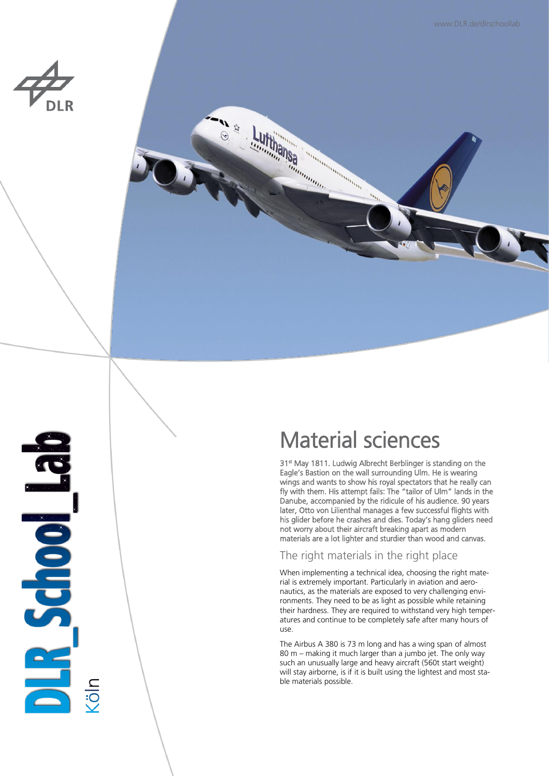



# **PESCHOOLS**

# Material sciences

31<sup>st</sup> May 1811. Ludwig Albrecht Berblinger is standing on the Eagle's Bastion on the wall surrounding Ulm. He is wearing wings and wants to show his royal spectators that he really can fly with them. His attempt fails: The "tailor of Ulm" lands in the Danube, accompanied by the ridicule of his audience. 90 years later, Otto von Lilienthal manages a few successful flights with his glider before he crashes and dies. Today's hang gliders need not worry about their aircraft breaking apart as modern materials are a lot lighter and sturdier than wood and canvas.

### The right materials in the right place

When implementing a technical idea, choosing the right material is extremely important. Particularly in aviation and aeronautics, as the materials are exposed to very challenging environments. They need to be as light as possible while retaining their hardness. They are required to withstand very high temperatures and continue to be completely safe after many hours of use.

The Airbus A 380 is 73 m long and has a wing span of almost 80 m – making it much larger than a jumbo jet. The only way such an unusually large and heavy aircraft (560t start weight) will stay airborne, is if it is built using the lightest and most stable materials possible.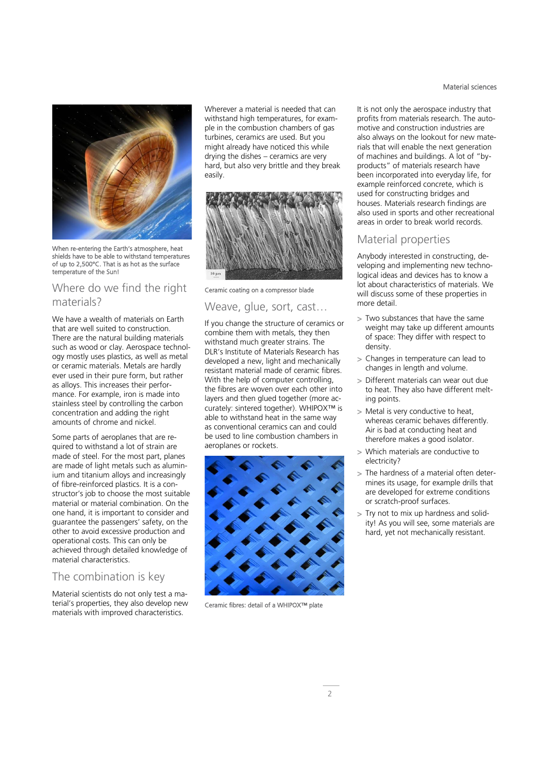

When re-entering the Earth's atmosphere, heat shields have to be able to withstand temperatures of up to 2,500°C. That is as hot as the surface temperature of the Sun!

### Where do we find the right materials?

We have a wealth of materials on Earth that are well suited to construction. There are the natural building materials such as wood or clay. Aerospace technology mostly uses plastics, as well as metal or ceramic materials. Metals are hardly ever used in their pure form, but rather as alloys. This increases their performance. For example, iron is made into stainless steel by controlling the carbon concentration and adding the right amounts of chrome and nickel.

Some parts of aeroplanes that are required to withstand a lot of strain are made of steel. For the most part, planes are made of light metals such as aluminium and titanium alloys and increasingly of fibre-reinforced plastics. It is a constructor's job to choose the most suitable material or material combination. On the one hand, it is important to consider and guarantee the passengers' safety, on the other to avoid excessive production and operational costs. This can only be achieved through detailed knowledge of material characteristics.

### The combination is key

Material scientists do not only test a material's properties, they also develop new materials with improved characteristics.

Wherever a material is needed that can withstand high temperatures, for example in the combustion chambers of gas turbines, ceramics are used. But you might already have noticed this while drying the dishes – ceramics are very hard, but also very brittle and they break easily.



Ceramic coating on a compressor blade

### Weave, glue, sort, cast…

If you change the structure of ceramics or combine them with metals, they then withstand much greater strains. The DLR's Institute of Materials Research has developed a new, light and mechanically resistant material made of ceramic fibres. With the help of computer controlling, the fibres are woven over each other into layers and then glued together (more accurately: sintered together). WHIPOX™ is able to withstand heat in the same way as conventional ceramics can and could be used to line combustion chambers in aeroplanes or rockets.



Ceramic fibres: detail of a WHIPOX™ plate

It is not only the aerospace industry that profits from materials research. The automotive and construction industries are also always on the lookout for new materials that will enable the next generation of machines and buildings. A lot of "byproducts" of materials research have been incorporated into everyday life, for example reinforced concrete, which is used for constructing bridges and houses. Materials research findings are also used in sports and other recreational areas in order to break world records.

### Material properties

Anybody interested in constructing, developing and implementing new technological ideas and devices has to know a lot about characteristics of materials. We will discuss some of these properties in more detail.

- > Two substances that have the same weight may take up different amounts of space: They differ with respect to density.
- > Changes in temperature can lead to changes in length and volume.
- > Different materials can wear out due to heat. They also have different melting points.
- > Metal is very conductive to heat, whereas ceramic behaves differently. Air is bad at conducting heat and therefore makes a good isolator.
- > Which materials are conductive to electricity?
- > The hardness of a material often determines its usage, for example drills that are developed for extreme conditions or scratch-proof surfaces.
- > Try not to mix up hardness and solidity! As you will see, some materials are hard, yet not mechanically resistant.

### Material sciences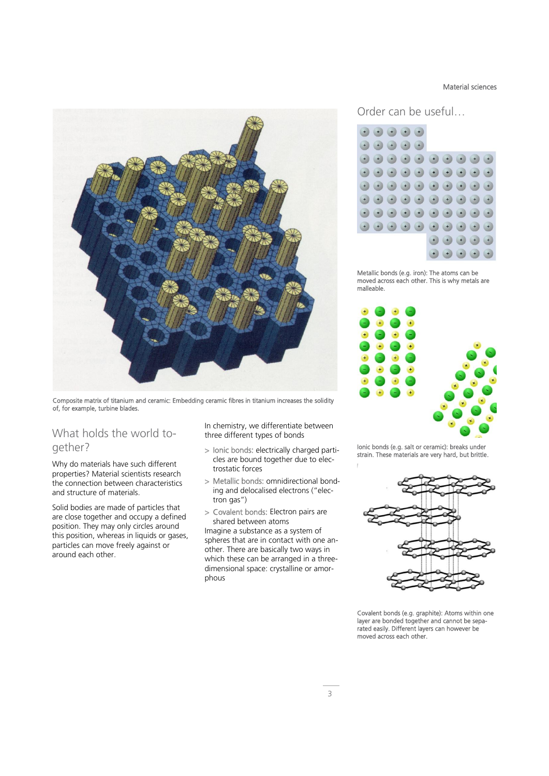Composite matrix of titanium and ceramic: Embedding ceramic fibres in titanium increases the solidity of, for example, turbine blades.

### What holds the world together?

Why do materials have such different properties? Material scientists research the connection between characteristics and structure of materials.

Solid bodies are made of particles that are close together and occupy a defined position. They may only circles around this position, whereas in liquids or gases, particles can move freely against or around each other.

In chemistry, we differentiate between three different types of bonds

- > Ionic bonds: electrically charged particles are bound together due to electrostatic forces
- > Metallic bonds: omnidirectional bonding and delocalised electrons ("electron gas")
- > Covalent bonds: Electron pairs are shared between atoms

Imagine a substance as a system of spheres that are in contact with one another. There are basically two ways in which these can be arranged in a threedimensional space: crystalline or amorphous

Material sciences

Order can be useful…



Metallic bonds (e.g. iron): The atoms can be moved across each other. This is why metals are malleable.



Ionic bonds (e.g. salt or ceramic): breaks under strain. These materials are very hard, but brittle.



Covalent bonds (e.g. graphite): Atoms within one layer are bonded together and cannot be separated easily. Different layers can however be moved across each other.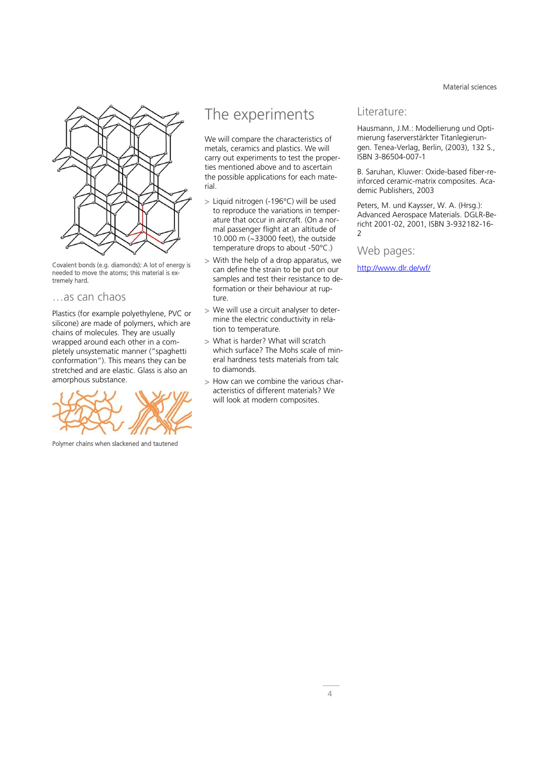Material sciences



Covalent bonds (e.g. diamonds): A lot of energy is needed to move the atoms; this material is extremely hard.

### …as can chaos

Plastics (for example polyethylene, PVC or silicone) are made of polymers, which are chains of molecules. They are usually wrapped around each other in a completely unsystematic manner ("spaghetti conformation"). This means they can be stretched and are elastic. Glass is also an amorphous substance.

Polymer chains when slackened and tautened

## The experiments

We will compare the characteristics of metals, ceramics and plastics. We will carry out experiments to test the properties mentioned above and to ascertain the possible applications for each material.

- > Liquid nitrogen (-196°C) will be used to reproduce the variations in temperature that occur in aircraft. (On a normal passenger flight at an altitude of 10.000 m (~33000 feet), the outside temperature drops to about -50°C.)
- > With the help of a drop apparatus, we can define the strain to be put on our samples and test their resistance to deformation or their behaviour at rupture.
- > We will use a circuit analyser to determine the electric conductivity in relation to temperature.
- > What is harder? What will scratch which surface? The Mohs scale of mineral hardness tests materials from talc to diamonds.
- > How can we combine the various characteristics of different materials? We will look at modern composites.

### Literature:

Hausmann, J.M.: Modellierung und Optimierung faserverstärkter Titanlegierungen. Tenea-Verlag, Berlin, (2003), 132 S., ISBN 3-86504-007-1

B. Saruhan, Kluwer: Oxide-based fiber-reinforced ceramic-matrix composites. Academic Publishers, 2003

Peters, M. und Kaysser, W. A. (Hrsg.): Advanced Aerospace Materials. DGLR-Bericht 2001-02, 2001, ISBN 3-932182-16-  $\overline{\phantom{0}}$ 

### Web pages:

<http://www.dlr.de/wf/>